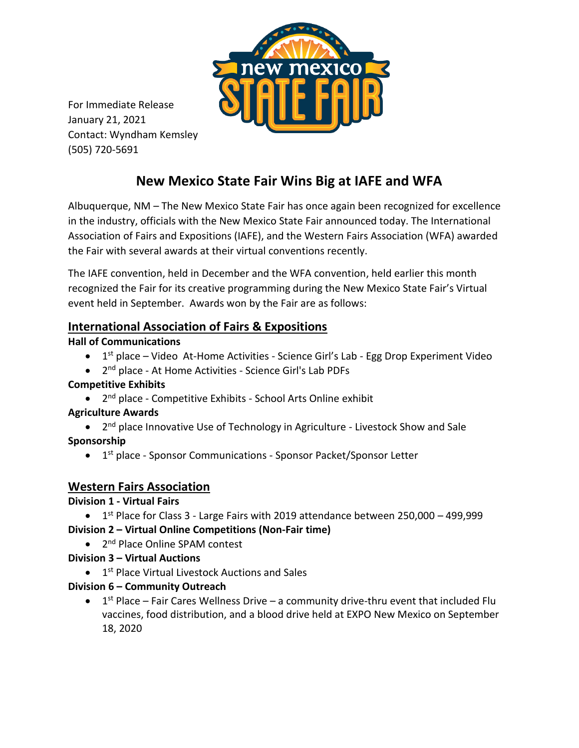

For Immediate Release January 21, 2021 Contact: Wyndham Kemsley (505) 720-5691

# **New Mexico State Fair Wins Big at IAFE and WFA**

Albuquerque, NM – The New Mexico State Fair has once again been recognized for excellence in the industry, officials with the New Mexico State Fair announced today. The International Association of Fairs and Expositions (IAFE), and the Western Fairs Association (WFA) awarded the Fair with several awards at their virtual conventions recently.

The IAFE convention, held in December and the WFA convention, held earlier this month recognized the Fair for its creative programming during the New Mexico State Fair's Virtual event held in September. Awards won by the Fair are as follows:

# **International Association of Fairs & Expositions**

#### **Hall of Communications**

- 1<sup>st</sup> place Video At-Home Activities Science Girl's Lab Egg Drop Experiment Video
- 2<sup>nd</sup> place At Home Activities Science Girl's Lab PDFs

### **Competitive Exhibits**

• 2<sup>nd</sup> place - Competitive Exhibits - School Arts Online exhibit

### **Agriculture Awards**

• 2<sup>nd</sup> place Innovative Use of Technology in Agriculture - Livestock Show and Sale **Sponsorship**

• 1<sup>st</sup> place - Sponsor Communications - Sponsor Packet/Sponsor Letter

# **Western Fairs Association**

### **Division 1 - Virtual Fairs**

- $\bullet$  1<sup>st</sup> Place for Class 3 Large Fairs with 2019 attendance between 250,000 499,999 **Division 2 – Virtual Online Competitions (Non-Fair time)**
	- 2<sup>nd</sup> Place Online SPAM contest
- **Division 3 – Virtual Auctions**
	- **•** 1<sup>st</sup> Place Virtual Livestock Auctions and Sales

### **Division 6 – Community Outreach**

 $\bullet$  1<sup>st</sup> Place – Fair Cares Wellness Drive – a community drive-thru event that included Flu vaccines, food distribution, and a blood drive held at EXPO New Mexico on September 18, 2020